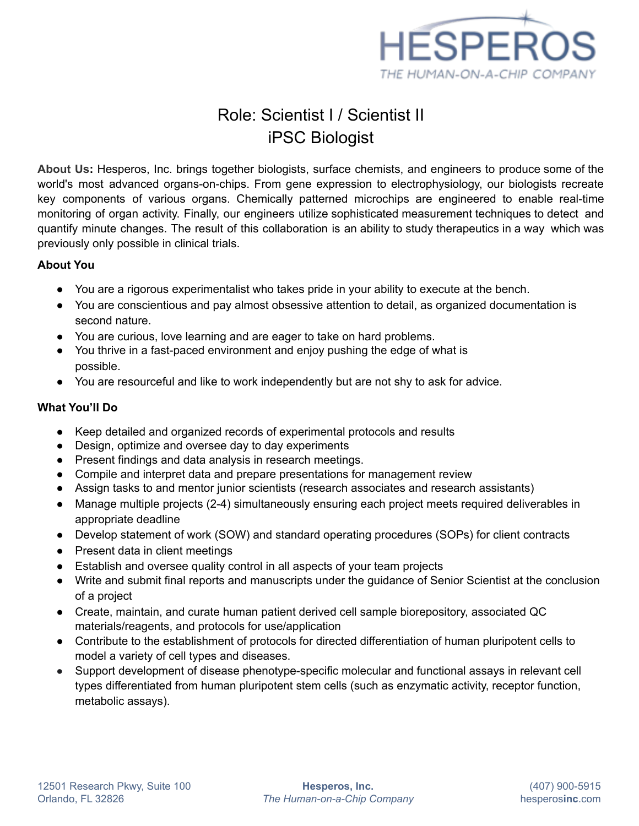

# Role: Scientist I / Scientist II iPSC Biologist

**About Us:** Hesperos, Inc. brings together biologists, surface chemists, and engineers to produce some of the world's most advanced organs-on-chips. From gene expression to electrophysiology, our biologists recreate key components of various organs. Chemically patterned microchips are engineered to enable real-time monitoring of organ activity. Finally, our engineers utilize sophisticated measurement techniques to detect and quantify minute changes. The result of this collaboration is an ability to study therapeutics in a way which was previously only possible in clinical trials.

#### **About You**

- You are a rigorous experimentalist who takes pride in your ability to execute at the bench.
- You are conscientious and pay almost obsessive attention to detail, as organized documentation is second nature.
- You are curious, love learning and are eager to take on hard problems.
- You thrive in a fast-paced environment and enjoy pushing the edge of what is possible.
- You are resourceful and like to work independently but are not shy to ask for advice.

### **What You'll Do**

- Keep detailed and organized records of experimental protocols and results
- Design, optimize and oversee day to day experiments
- Present findings and data analysis in research meetings.
- Compile and interpret data and prepare presentations for management review
- Assign tasks to and mentor junior scientists (research associates and research assistants)
- Manage multiple projects (2-4) simultaneously ensuring each project meets required deliverables in appropriate deadline
- Develop statement of work (SOW) and standard operating procedures (SOPs) for client contracts
- Present data in client meetings
- Establish and oversee quality control in all aspects of your team projects
- Write and submit final reports and manuscripts under the guidance of Senior Scientist at the conclusion of a project
- Create, maintain, and curate human patient derived cell sample biorepository, associated QC materials/reagents, and protocols for use/application
- Contribute to the establishment of protocols for directed differentiation of human pluripotent cells to model a variety of cell types and diseases.
- Support development of disease phenotype-specific molecular and functional assays in relevant cell types differentiated from human pluripotent stem cells (such as enzymatic activity, receptor function, metabolic assays).